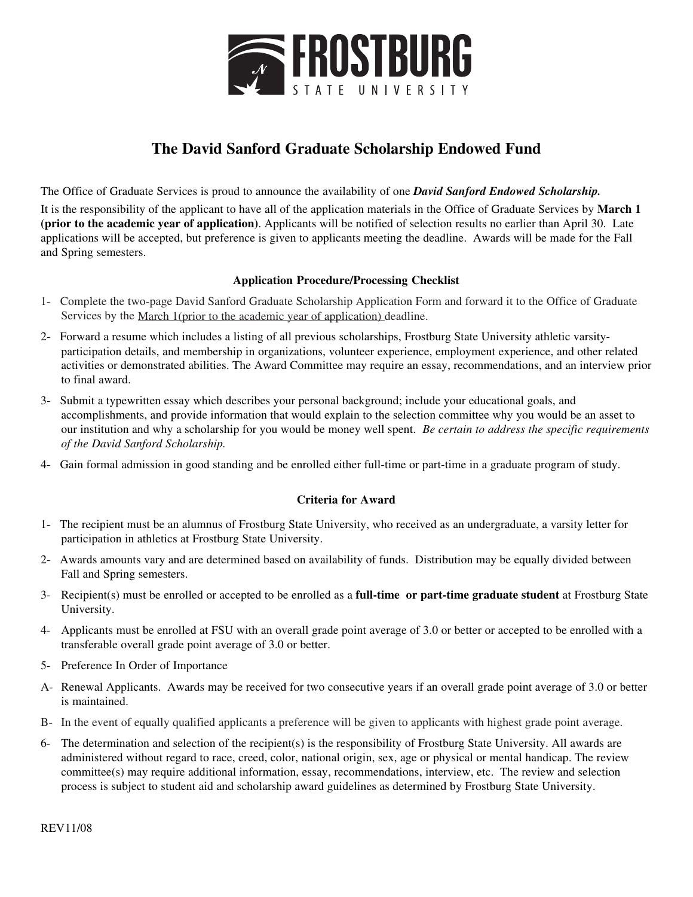

## **The David Sanford Graduate Scholarship Endowed Fund**

The Office of Graduate Services is proud to announce the availability of one *David Sanford Endowed Scholarship.*

It is the responsibility of the applicant to have all of the application materials in the Office of Graduate Services by **March 1 (prior to the academic year of application)**. Applicants will be notified of selection results no earlier than April 30. Late applications will be accepted, but preference is given to applicants meeting the deadline. Awards will be made for the Fall and Spring semesters.

### **Application Procedure/Processing Checklist**

- 1- Complete the two-page David Sanford Graduate Scholarship Application Form and forward it to the Office of Graduate Services by the March 1(prior to the academic year of application) deadline.
- 2- Forward a resume which includes a listing of all previous scholarships, Frostburg State University athletic varsityparticipation details, and membership in organizations, volunteer experience, employment experience, and other related activities or demonstrated abilities. The Award Committee may require an essay, recommendations, and an interview prior to final award.
- 3- Submit a typewritten essay which describes your personal background; include your educational goals, and accomplishments, and provide information that would explain to the selection committee why you would be an asset to our institution and why a scholarship for you would be money well spent. *Be certain to address the specific requirements of the David Sanford Scholarship.*
- 4- Gain formal admission in good standing and be enrolled either full-time or part-time in a graduate program of study.

### **Criteria for Award**

- 1- The recipient must be an alumnus of Frostburg State University, who received as an undergraduate, a varsity letter for participation in athletics at Frostburg State University.
- 2- Awards amounts vary and are determined based on availability of funds. Distribution may be equally divided between Fall and Spring semesters.
- 3- Recipient(s) must be enrolled or accepted to be enrolled as a **full-time or part-time graduate student** at Frostburg State University.
- 4- Applicants must be enrolled at FSU with an overall grade point average of 3.0 or better or accepted to be enrolled with a transferable overall grade point average of 3.0 or better.
- 5- Preference In Order of Importance
- A- Renewal Applicants. Awards may be received for two consecutive years if an overall grade point average of 3.0 or better is maintained.
- B- In the event of equally qualified applicants a preference will be given to applicants with highest grade point average.
- 6- The determination and selection of the recipient(s) is the responsibility of Frostburg State University. All awards are administered without regard to race, creed, color, national origin, sex, age or physical or mental handicap. The review committee(s) may require additional information, essay, recommendations, interview, etc. The review and selection process is subject to student aid and scholarship award guidelines as determined by Frostburg State University.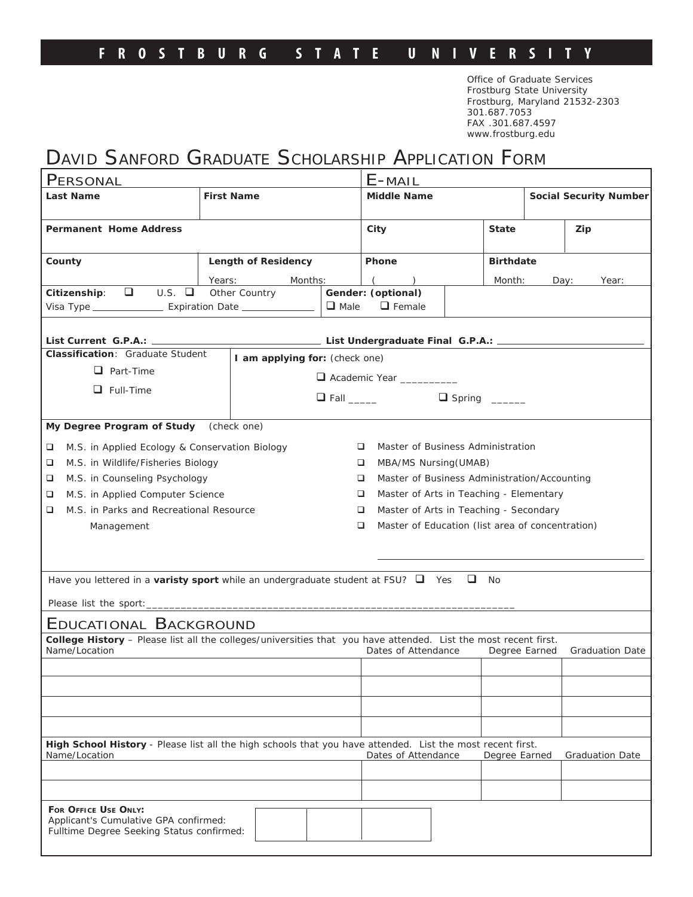### **FROSTBURG STATE U NIVERSIT Y**

Office of Graduate Services Frostburg State University Frostburg, Maryland 21532-2303 301.687.7053 FAX .301.687.4597 www.frostburg.edu

# DAVID SANFORD GRADUATE SCHOLARSHIP APPLICATION FORM

| PERSONAL                                                                                                                                                                                           |                                              |             | $E$ -MAIL                                             |                                        |                  |                               |       |  |
|----------------------------------------------------------------------------------------------------------------------------------------------------------------------------------------------------|----------------------------------------------|-------------|-------------------------------------------------------|----------------------------------------|------------------|-------------------------------|-------|--|
| Last Name                                                                                                                                                                                          | <b>First Name</b>                            |             | <b>Middle Name</b>                                    |                                        |                  | <b>Social Security Number</b> |       |  |
|                                                                                                                                                                                                    |                                              |             |                                                       |                                        |                  |                               |       |  |
| Permanent Home Address                                                                                                                                                                             |                                              |             | City                                                  |                                        | <b>State</b>     |                               | Zip   |  |
| County                                                                                                                                                                                             | Length of Residency                          |             | Phone                                                 |                                        | <b>Birthdate</b> |                               |       |  |
|                                                                                                                                                                                                    | Months:<br>Years:                            |             | $($ )                                                 |                                        | Month:           | Day:                          | Year: |  |
| $\Box$<br>U.S.<br>Citizenship:                                                                                                                                                                     | Other Country                                |             | Gender: (optional)                                    |                                        |                  |                               |       |  |
| Visa Type ______________________ Expiration Date _______________________________                                                                                                                   |                                              | $\Box$ Male | $\Box$ Female                                         |                                        |                  |                               |       |  |
| List Undergraduate Final G.P.A.: _________<br>List Current G.P.A.: ___________                                                                                                                     |                                              |             |                                                       |                                        |                  |                               |       |  |
| Classification: Graduate Student                                                                                                                                                                   | I am applying for: (check one)               |             |                                                       | Academic Year ________                 |                  |                               |       |  |
| $\Box$ Part-Time                                                                                                                                                                                   |                                              |             |                                                       |                                        |                  |                               |       |  |
| $\Box$ Full-Time                                                                                                                                                                                   |                                              |             |                                                       |                                        |                  |                               |       |  |
|                                                                                                                                                                                                    |                                              |             |                                                       |                                        |                  |                               |       |  |
| My Degree Program of Study                                                                                                                                                                         | (check one)                                  |             |                                                       |                                        |                  |                               |       |  |
| M.S. in Applied Ecology & Conservation Biology<br>❏                                                                                                                                                |                                              |             | Master of Business Administration<br>⊔                |                                        |                  |                               |       |  |
| M.S. in Wildlife/Fisheries Biology<br>❏                                                                                                                                                            |                                              |             | MBA/MS Nursing (UMAB)<br>□                            |                                        |                  |                               |       |  |
| M.S. in Counseling Psychology<br>❏                                                                                                                                                                 |                                              |             | Master of Business Administration/Accounting<br>□     |                                        |                  |                               |       |  |
| M.S. in Applied Computer Science<br>❏                                                                                                                                                              | Master of Arts in Teaching - Elementary<br>❏ |             |                                                       |                                        |                  |                               |       |  |
| M.S. in Parks and Recreational Resource<br>❏                                                                                                                                                       |                                              |             | □                                                     | Master of Arts in Teaching - Secondary |                  |                               |       |  |
| Management                                                                                                                                                                                         |                                              |             | Master of Education (list area of concentration)<br>□ |                                        |                  |                               |       |  |
|                                                                                                                                                                                                    |                                              |             |                                                       |                                        |                  |                               |       |  |
|                                                                                                                                                                                                    |                                              |             |                                                       |                                        |                  |                               |       |  |
| Have you lettered in a varisty sport while an undergraduate student at FSU? $\Box$ Yes $\Box$<br><b>No</b>                                                                                         |                                              |             |                                                       |                                        |                  |                               |       |  |
|                                                                                                                                                                                                    |                                              |             |                                                       |                                        |                  |                               |       |  |
|                                                                                                                                                                                                    |                                              |             |                                                       |                                        |                  |                               |       |  |
| EDUCATIONAL BACKGROUND                                                                                                                                                                             |                                              |             |                                                       |                                        |                  |                               |       |  |
| College History - Please list all the colleges/universities that you have attended. List the most recent first.<br>Name/Location<br>Dates of Attendance<br>Degree Earned<br><b>Graduation Date</b> |                                              |             |                                                       |                                        |                  |                               |       |  |
|                                                                                                                                                                                                    |                                              |             |                                                       |                                        |                  |                               |       |  |
|                                                                                                                                                                                                    |                                              |             |                                                       |                                        |                  |                               |       |  |
|                                                                                                                                                                                                    |                                              |             |                                                       |                                        |                  |                               |       |  |
|                                                                                                                                                                                                    |                                              |             |                                                       |                                        |                  |                               |       |  |
| High School History - Please list all the high schools that you have attended. List the most recent first.<br>Name/Location<br>Dates of Attendance<br>Degree Earned<br><b>Graduation Date</b>      |                                              |             |                                                       |                                        |                  |                               |       |  |
|                                                                                                                                                                                                    |                                              |             |                                                       |                                        |                  |                               |       |  |
|                                                                                                                                                                                                    |                                              |             |                                                       |                                        |                  |                               |       |  |
| FOR OFFICE USE ONLY:<br>Applicant's Cumulative GPA confirmed:<br>Fulltime Degree Seeking Status confirmed:                                                                                         |                                              |             |                                                       |                                        |                  |                               |       |  |